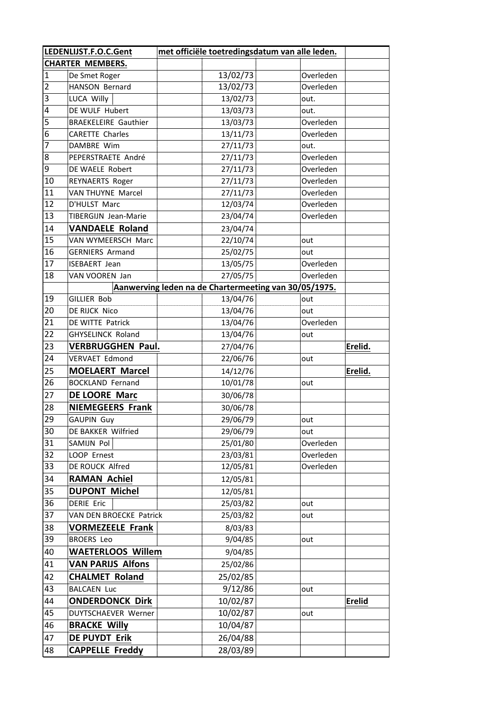